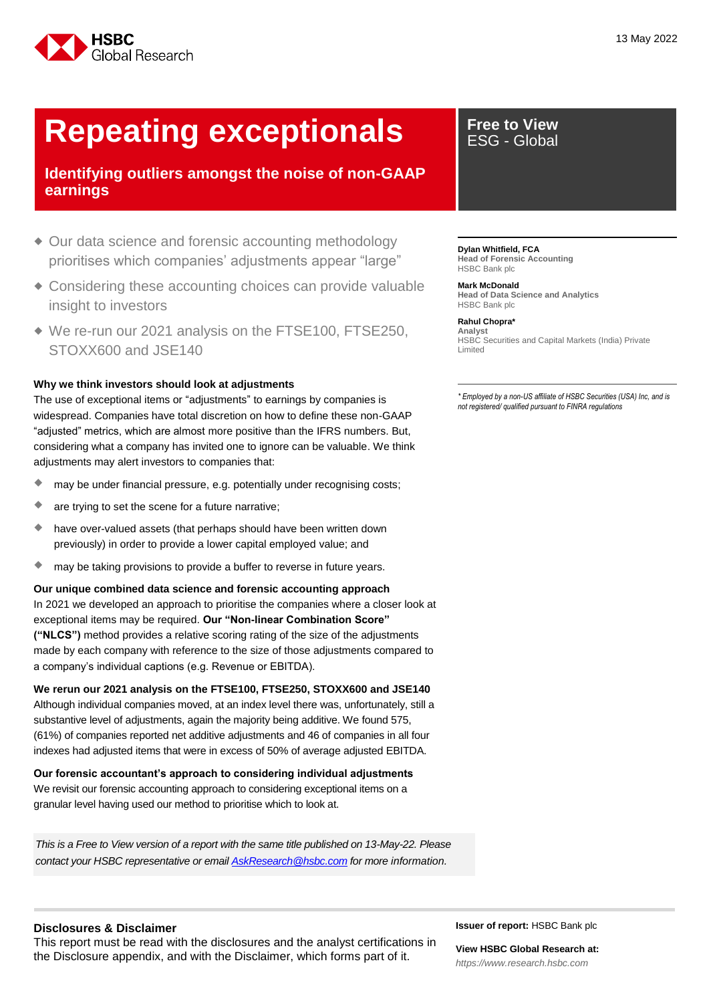

# **Repeating exceptionals Pree to View Repeating exceptionals**

**Identifying outliers amongst the noise of non-GAAP earnings** 

- Our data science and forensic accounting methodology prioritises which companies' adjustments appear "large"
- Considering these accounting choices can provide valuable insight to investors
- We re-run our 2021 analysis on the FTSE100, FTSE250, STOXX600 and JSE140

#### **Why we think investors should look at adjustments**

The use of exceptional items or "adjustments" to earnings by companies is widespread. Companies have total discretion on how to define these non-GAAP "adjusted" metrics, which are almost more positive than the IFRS numbers. But, considering what a company has invited one to ignore can be valuable. We think adjustments may alert investors to companies that:

- may be under financial pressure, e.g. potentially under recognising costs;
- **are trying to set the scene for a future narrative;**
- have over-valued assets (that perhaps should have been written down previously) in order to provide a lower capital employed value; and
- **The may be taking provisions to provide a buffer to reverse in future years.**

**Our unique combined data science and forensic accounting approach**  In 2021 we developed an approach to prioritise the companies where a closer look at exceptional items may be required. **Our "Non-linear Combination Score" ("NLCS")** method provides a relative scoring rating of the size of the adjustments made by each company with reference to the size of those adjustments compared to a company's individual captions (e.g. Revenue or EBITDA).

**We rerun our 2021 analysis on the FTSE100, FTSE250, STOXX600 and JSE140** Although individual companies moved, at an index level there was, unfortunately, still a substantive level of adjustments, again the majority being additive. We found 575, (61%) of companies reported net additive adjustments and 46 of companies in all four indexes had adjusted items that were in excess of 50% of average adjusted EBITDA.

**Our forensic accountant's approach to considering individual adjustments**  We revisit our forensic accounting approach to considering exceptional items on a granular level having used our method to prioritise which to look at.

*This is a Free to View version of a report with the same title published on 13-May-22. Please contact your HSBC representative or emai[l AskResearch@hsbc.com](mailto:AskResearch@hsbc.com) for more information.*

## ESG - Global

**Dylan Whitfield, FCA Head of Forensic Accounting** HSBC Bank plc

**Mark McDonald**

**Head of Data Science and Analytics** HSBC Bank plc

#### **Rahul Chopra\***

**Analyst** HSBC Securities and Capital Markets (India) Private Limited

*\* Employed by a non-US affiliate of HSBC Securities (USA) Inc, and is not registered/ qualified pursuant to FINRA regulations*

#### **Disclosures & Disclaimer**

This report must be read with the disclosures and the analyst certifications in the Disclosure appendix, and with the Disclaimer, which forms part of it.

**Issuer of report:** HSBC Bank plc

**View HSBC Global Research at:** *[https://www.research.hsbc.com](https://www.research.hsbc.com/)*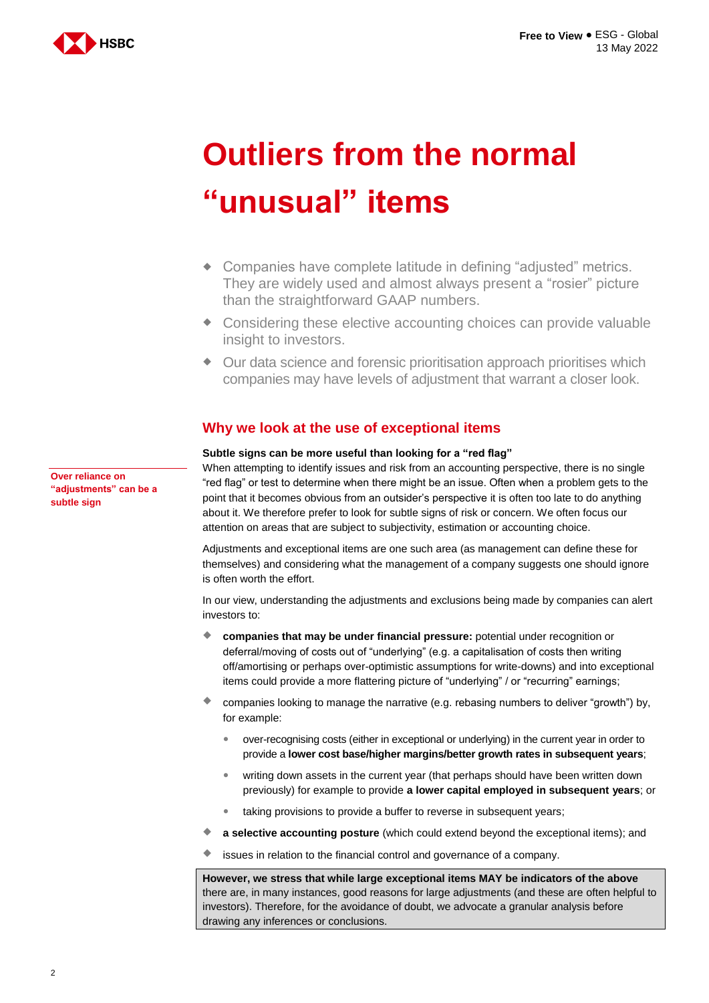

# **Outliers from the normal "unusual" items**

- Companies have complete latitude in defining "adjusted" metrics. They are widely used and almost always present a "rosier" picture than the straightforward GAAP numbers.
- Considering these elective accounting choices can provide valuable insight to investors.
- Our data science and forensic prioritisation approach prioritises which companies may have levels of adjustment that warrant a closer look.

## **Why we look at the use of exceptional items**

#### **Subtle signs can be more useful than looking for a "red flag"**

When attempting to identify issues and risk from an accounting perspective, there is no single "red flag" or test to determine when there might be an issue. Often when a problem gets to the point that it becomes obvious from an outsider's perspective it is often too late to do anything about it. We therefore prefer to look for subtle signs of risk or concern. We often focus our attention on areas that are subject to subjectivity, estimation or accounting choice.

Adjustments and exceptional items are one such area (as management can define these for themselves) and considering what the management of a company suggests one should ignore is often worth the effort.

In our view, understanding the adjustments and exclusions being made by companies can alert investors to:

- **companies that may be under financial pressure:** potential under recognition or deferral/moving of costs out of "underlying" (e.g. a capitalisation of costs then writing off/amortising or perhaps over-optimistic assumptions for write-downs) and into exceptional items could provide a more flattering picture of "underlying" / or "recurring" earnings;
- companies looking to manage the narrative (e.g. rebasing numbers to deliver "growth") by, for example:
	- over-recognising costs (either in exceptional or underlying) in the current year in order to provide a **lower cost base/higher margins/better growth rates in subsequent years**;
	- writing down assets in the current year (that perhaps should have been written down previously) for example to provide **a lower capital employed in subsequent years**; or
	- **•** taking provisions to provide a buffer to reverse in subsequent years;
- **a selective accounting posture** (which could extend beyond the exceptional items); and
- issues in relation to the financial control and governance of a company.

**However, we stress that while large exceptional items MAY be indicators of the above** there are, in many instances, good reasons for large adjustments (and these are often helpful to investors). Therefore, for the avoidance of doubt, we advocate a granular analysis before drawing any inferences or conclusions.

**Over reliance on "adjustments" can be a subtle sign**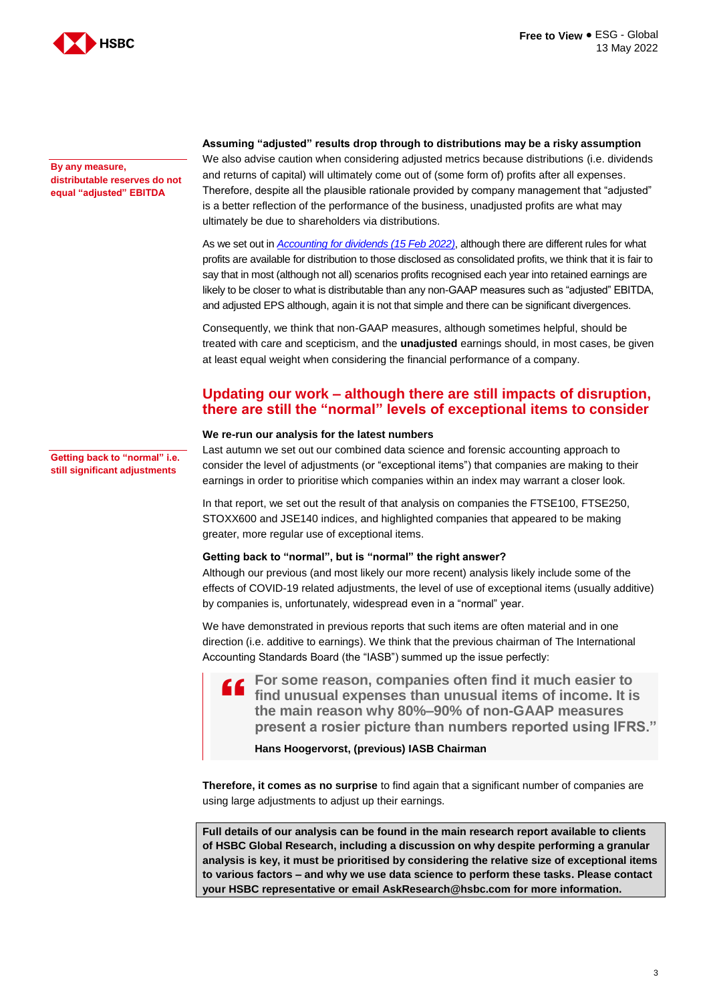

**By any measure, distributable reserves do not equal "adjusted" EBITDA**

**Assuming "adjusted" results drop through to distributions may be a risky assumption** We also advise caution when considering adjusted metrics because distributions (i.e. dividends and returns of capital) will ultimately come out of (some form of) profits after all expenses. Therefore, despite all the plausible rationale provided by company management that "adjusted" is a better reflection of the performance of the business, unadjusted profits are what may ultimately be due to shareholders via distributions.

As we set out in *[Accounting for dividends \(15 Feb 2022\)](https://www.research.hsbc.com/C/1/1/320/jthNgb7)*, although there are different rules for what profits are available for distribution to those disclosed as consolidated profits, we think that it is fair to say that in most (although not all) scenarios profits recognised each year into retained earnings are likely to be closer to what is distributable than any non-GAAP measures such as "adjusted" EBITDA, and adjusted EPS although, again it is not that simple and there can be significant divergences.

Consequently, we think that non-GAAP measures, although sometimes helpful, should be treated with care and scepticism, and the **unadjusted** earnings should, in most cases, be given at least equal weight when considering the financial performance of a company.

### **Updating our work – although there are still impacts of disruption, there are still the "normal" levels of exceptional items to consider**

#### **We re-run our analysis for the latest numbers**

**Getting back to "normal" i.e. still significant adjustments**

Last autumn we set out our combined data science and forensic accounting approach to consider the level of adjustments (or "exceptional items") that companies are making to their earnings in order to prioritise which companies within an index may warrant a closer look.

In that report, we set out the result of that analysis on companies the FTSE100, FTSE250, STOXX600 and JSE140 indices, and highlighted companies that appeared to be making greater, more regular use of exceptional items.

#### **Getting back to "normal", but is "normal" the right answer?**

Although our previous (and most likely our more recent) analysis likely include some of the effects of COVID-19 related adjustments, the level of use of exceptional items (usually additive) by companies is, unfortunately, widespread even in a "normal" year.

We have demonstrated in previous reports that such items are often material and in one direction (i.e. additive to earnings). We think that the previous chairman of The International Accounting Standards Board (the "IASB") summed up the issue perfectly:



**For some reason, companies often find it much easier to find unusual expenses than unusual items of income. It is the main reason why 80%–90% of non-GAAP measures present a rosier picture than numbers reported using IFRS."** 

**Hans Hoogervorst, (previous) IASB Chairman**

**Therefore, it comes as no surprise** to find again that a significant number of companies are using large adjustments to adjust up their earnings.

**Full details of our analysis can be found in the main research report available to clients of HSBC Global Research, including a discussion on why despite performing a granular analysis is key, it must be prioritised by considering the relative size of exceptional items to various factors – and why we use data science to perform these tasks. Please contact your HSBC representative or email AskResearch@hsbc.com for more information.**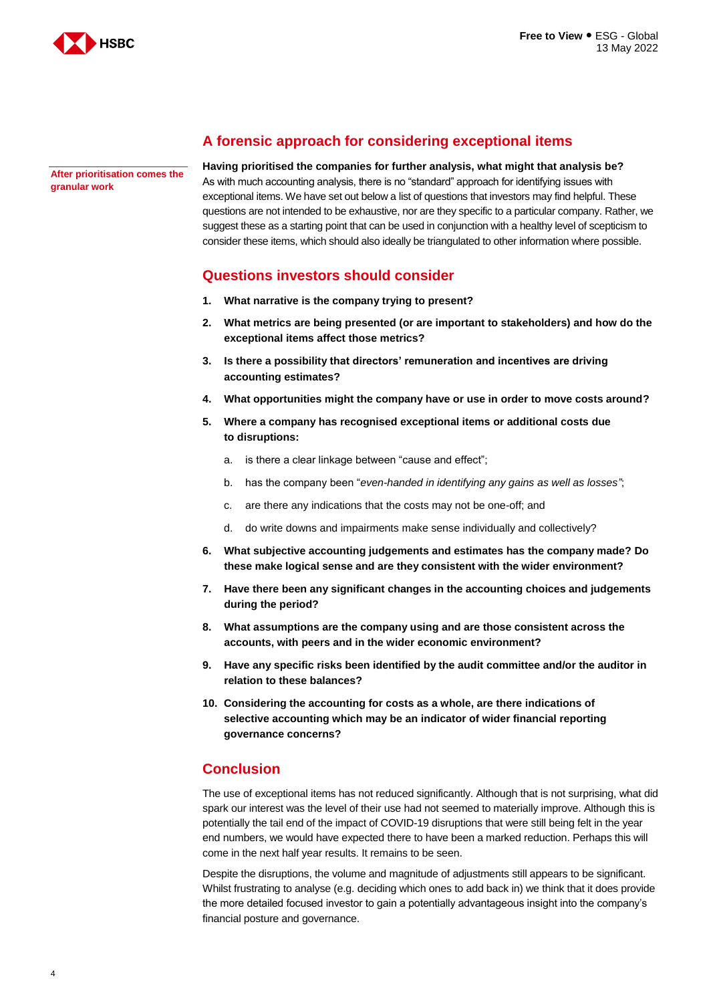



#### **After prioritisation comes the granular work**

## **A forensic approach for considering exceptional items**

**Having prioritised the companies for further analysis, what might that analysis be?** As with much accounting analysis, there is no "standard" approach for identifying issues with exceptional items. We have set out below a list of questions that investors may find helpful. These questions are not intended to be exhaustive, nor are they specific to a particular company. Rather, we suggest these as a starting point that can be used in conjunction with a healthy level of scepticism to consider these items, which should also ideally be triangulated to other information where possible.

## **Questions investors should consider**

- **1. What narrative is the company trying to present?**
- **2. What metrics are being presented (or are important to stakeholders) and how do the exceptional items affect those metrics?**
- **3. Is there a possibility that directors' remuneration and incentives are driving accounting estimates?**
- **4. What opportunities might the company have or use in order to move costs around?**
- **5. Where a company has recognised exceptional items or additional costs due to disruptions:**
	- a. is there a clear linkage between "cause and effect";
	- b. has the company been "*even-handed in identifying any gains as well as losses"*;
	- c. are there any indications that the costs may not be one-off; and
	- d. do write downs and impairments make sense individually and collectively?
- **6. What subjective accounting judgements and estimates has the company made? Do these make logical sense and are they consistent with the wider environment?**
- **7. Have there been any significant changes in the accounting choices and judgements during the period?**
- **8. What assumptions are the company using and are those consistent across the accounts, with peers and in the wider economic environment?**
- **9. Have any specific risks been identified by the audit committee and/or the auditor in relation to these balances?**
- **10. Considering the accounting for costs as a whole, are there indications of selective accounting which may be an indicator of wider financial reporting governance concerns?**

## **Conclusion**

The use of exceptional items has not reduced significantly. Although that is not surprising, what did spark our interest was the level of their use had not seemed to materially improve. Although this is potentially the tail end of the impact of COVID-19 disruptions that were still being felt in the year end numbers, we would have expected there to have been a marked reduction. Perhaps this will come in the next half year results. It remains to be seen.

Despite the disruptions, the volume and magnitude of adjustments still appears to be significant. Whilst frustrating to analyse (e.g. deciding which ones to add back in) we think that it does provide the more detailed focused investor to gain a potentially advantageous insight into the company's financial posture and governance.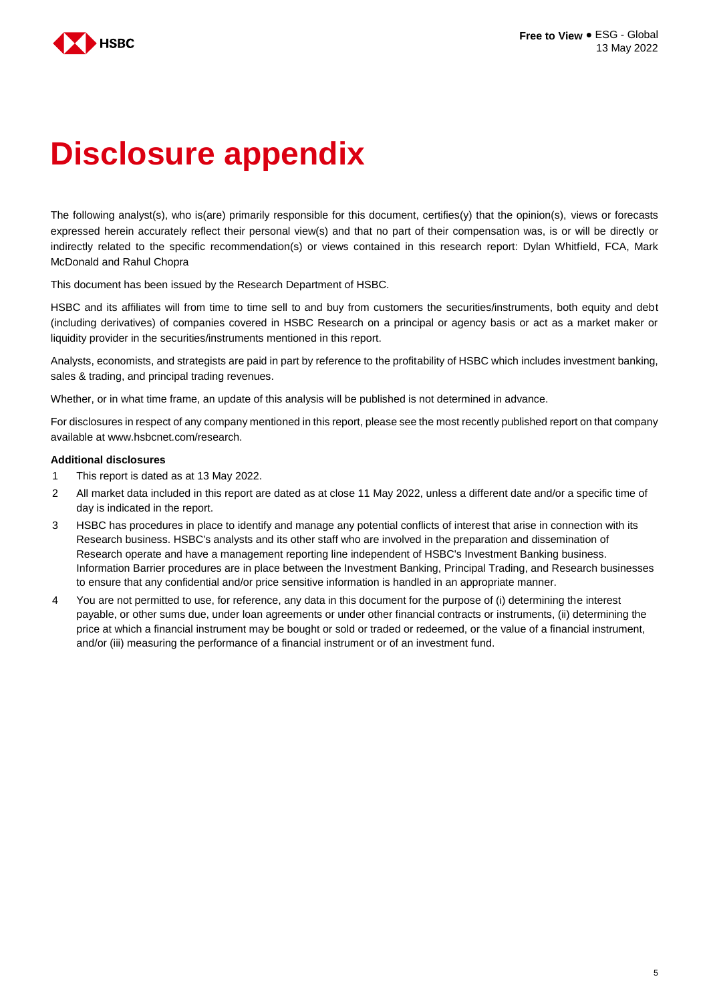

# **Disclosure appendix**

The following analyst(s), who is(are) primarily responsible for this document, certifies(y) that the opinion(s), views or forecasts expressed herein accurately reflect their personal view(s) and that no part of their compensation was, is or will be directly or indirectly related to the specific recommendation(s) or views contained in this research report: Dylan Whitfield, FCA, Mark McDonald and Rahul Chopra

This document has been issued by the Research Department of HSBC.

HSBC and its affiliates will from time to time sell to and buy from customers the securities/instruments, both equity and debt (including derivatives) of companies covered in HSBC Research on a principal or agency basis or act as a market maker or liquidity provider in the securities/instruments mentioned in this report.

Analysts, economists, and strategists are paid in part by reference to the profitability of HSBC which includes investment banking, sales & trading, and principal trading revenues.

Whether, or in what time frame, an update of this analysis will be published is not determined in advance.

For disclosures in respect of any company mentioned in this report, please see the most recently published report on that company available at www.hsbcnet.com/research.

#### **Additional disclosures**

- 1 This report is dated as at 13 May 2022.
- 2 All market data included in this report are dated as at close 11 May 2022, unless a different date and/or a specific time of day is indicated in the report.
- 3 HSBC has procedures in place to identify and manage any potential conflicts of interest that arise in connection with its Research business. HSBC's analysts and its other staff who are involved in the preparation and dissemination of Research operate and have a management reporting line independent of HSBC's Investment Banking business. Information Barrier procedures are in place between the Investment Banking, Principal Trading, and Research businesses to ensure that any confidential and/or price sensitive information is handled in an appropriate manner.
- 4 You are not permitted to use, for reference, any data in this document for the purpose of (i) determining the interest payable, or other sums due, under loan agreements or under other financial contracts or instruments, (ii) determining the price at which a financial instrument may be bought or sold or traded or redeemed, or the value of a financial instrument, and/or (iii) measuring the performance of a financial instrument or of an investment fund.